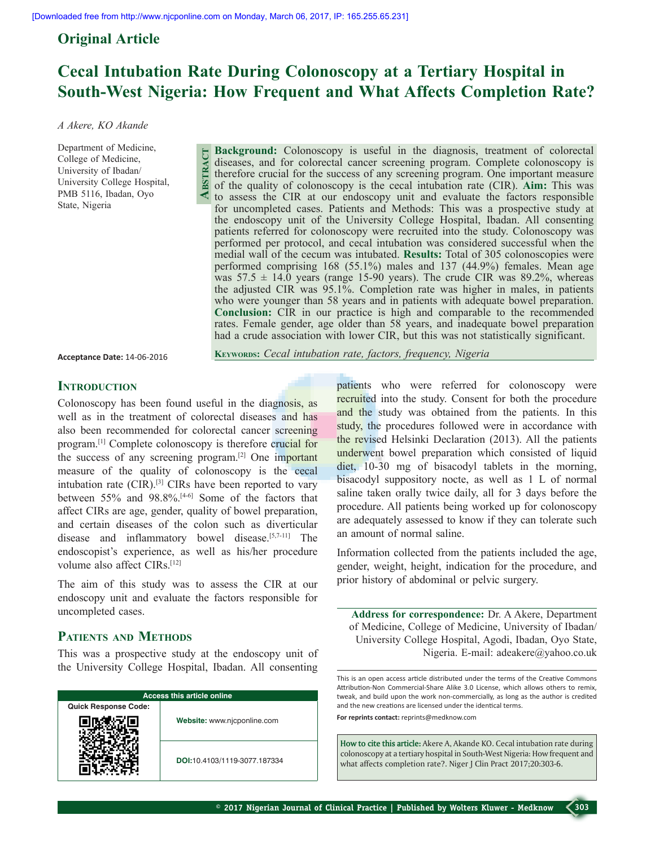**Abstract**

### **Original Article**

## **Cecal Intubation Rate During Colonoscopy at a Tertiary Hospital in South-West Nigeria: How Frequent and What Affects Completion Rate?**

#### *A Akere, KO Akande*

Department of Medicine, College of Medicine, University of Ibadan/ University College Hospital, PMB 5116, Ibadan, Oyo State, Nigeria

**Background:** Colonoscopy is useful in the diagnosis, treatment of colorectal diseases, and for colorectal cancer screening program. Complete colonoscopy is therefore crucial for the success of any screening program. One important measure of the quality of colonoscopy is the cecal intubation rate (CIR). **Aim:** This was to assess the CIR at our endoscopy unit and evaluate the factors responsible for uncompleted cases. Patients and Methods: This was a prospective study at the endoscopy unit of the University College Hospital, Ibadan. All consenting patients referred for colonoscopy were recruited into the study. Colonoscopy was performed per protocol, and cecal intubation was considered successful when the medial wall of the cecum was intubated. **Results:** Total of 305 colonoscopies were performed comprising 168 (55.1%) males and 137 (44.9%) females. Mean age was  $57.5 \pm 14.0$  years (range 15-90 years). The crude CIR was 89.2%, whereas the adjusted CIR was 95.1%. Completion rate was higher in males, in patients who were younger than 58 years and in patients with adequate bowel preparation. **Conclusion:** CIR in our practice is high and comparable to the recommended rates. Female gender, age older than 58 years, and inadequate bowel preparation had a crude association with lower CIR, but this was not statistically significant.

**Acceptance Date:** 14-06-2016

**Keywords:** *Cecal intubation rate, factors, frequency, Nigeria*

## **INTRODUCTION**

Colonoscopy has been found useful in the diagnosis, as well as in the treatment of colorectal diseases and has also been recommended for colorectal cancer screening program.[1] Complete colonoscopy is therefore crucial for the success of any screening program.[2] One important measure of the quality of colonoscopy is the cecal intubation rate (CIR).[3] CIRs have been reported to vary between 55% and 98.8%.[4-6] Some of the factors that affect CIRs are age, gender, quality of bowel preparation, and certain diseases of the colon such as diverticular disease and inflammatory bowel disease.[5,7-11] The endoscopist's experience, as well as his/her procedure volume also affect CIRs.<sup>[12]</sup>

The aim of this study was to assess the CIR at our endoscopy unit and evaluate the factors responsible for uncompleted cases.

## **Patients and Methods**

This was a prospective study at the endoscopy unit of the University College Hospital, Ibadan. All consenting

| <b>Access this article online</b> |                              |  |
|-----------------------------------|------------------------------|--|
| <b>Quick Response Code:</b>       |                              |  |
|                                   | Website: www.njcponline.com  |  |
|                                   | DOI:10.4103/1119-3077.187334 |  |

patients who were referred for colonoscopy were recruited into the study. Consent for both the procedure and the study was obtained from the patients. In this study, the procedures followed were in accordance with the revised Helsinki Declaration (2013). All the patients underwent bowel preparation which consisted of liquid diet, 10-30 mg of bisacodyl tablets in the morning, bisacodyl suppository nocte, as well as 1 L of normal saline taken orally twice daily, all for 3 days before the procedure. All patients being worked up for colonoscopy are adequately assessed to know if they can tolerate such an amount of normal saline.

Information collected from the patients included the age, gender, weight, height, indication for the procedure, and prior history of abdominal or pelvic surgery.

**Address for correspondence:** Dr. A Akere, Department of Medicine, College of Medicine, University of Ibadan/ University College Hospital, Agodi, Ibadan, Oyo State, Nigeria. E-mail: adeakere@yahoo.co.uk

This is an open access article distributed under the terms of the Creative Commons Attribution-Non Commercial-Share Alike 3.0 License, which allows others to remix, tweak, and build upon the work non-commercially, as long as the author is credited and the new creations are licensed under the identical terms.

**For reprints contact:** reprints@medknow.com

**How to cite this article:** Akere A, Akande KO. Cecal intubation rate during colonoscopy at a tertiary hospital in South-West Nigeria: How frequent and what affects completion rate?. Niger J Clin Pract 2017;20:303-6.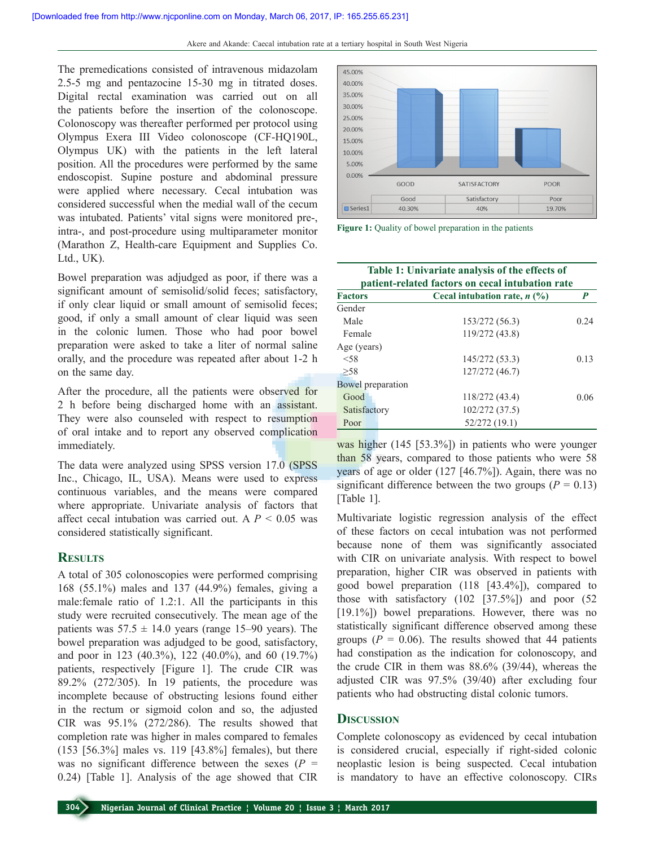The premedications consisted of intravenous midazolam 2.5-5 mg and pentazocine 15-30 mg in titrated doses. Digital rectal examination was carried out on all the patients before the insertion of the colonoscope. Colonoscopy was thereafter performed per protocol using Olympus Exera III Video colonoscope (CF-HQ190L, Olympus UK) with the patients in the left lateral position. All the procedures were performed by the same endoscopist. Supine posture and abdominal pressure were applied where necessary. Cecal intubation was considered successful when the medial wall of the cecum was intubated. Patients' vital signs were monitored pre-, intra-, and post-procedure using multiparameter monitor (Marathon Z, Health-care Equipment and Supplies Co. Ltd., UK).

Bowel preparation was adjudged as poor, if there was a significant amount of semisolid/solid feces; satisfactory, if only clear liquid or small amount of semisolid feces; good, if only a small amount of clear liquid was seen in the colonic lumen. Those who had poor bowel preparation were asked to take a liter of normal saline orally, and the procedure was repeated after about 1-2 h on the same day.

After the procedure, all the patients were observed for 2 h before being discharged home with an assistant. They were also counseled with respect to resumption of oral intake and to report any observed complication immediately.

The data were analyzed using SPSS version 17.0 (SPSS Inc., Chicago, IL, USA). Means were used to express continuous variables, and the means were compared where appropriate. Univariate analysis of factors that affect cecal intubation was carried out. A  $P < 0.05$  was considered statistically significant.

#### **Results**

A total of 305 colonoscopies were performed comprising 168 (55.1%) males and 137 (44.9%) females, giving a male:female ratio of 1.2:1. All the participants in this study were recruited consecutively. The mean age of the patients was  $57.5 \pm 14.0$  years (range 15–90 years). The bowel preparation was adjudged to be good, satisfactory, and poor in 123 (40.3%), 122 (40.0%), and 60 (19.7%) patients, respectively [Figure 1]. The crude CIR was 89.2% (272/305). In 19 patients, the procedure was incomplete because of obstructing lesions found either in the rectum or sigmoid colon and so, the adjusted CIR was 95.1% (272/286). The results showed that completion rate was higher in males compared to females (153 [56.3%] males vs. 119 [43.8%] females), but there was no significant difference between the sexes  $(P =$ 0.24) [Table 1]. Analysis of the age showed that CIR



**Figure 1:** Quality of bowel preparation in the patients

| Table 1: Univariate analysis of the effects of<br>patient-related factors on cecal intubation rate |                                |      |
|----------------------------------------------------------------------------------------------------|--------------------------------|------|
| <b>Factors</b>                                                                                     | Cecal intubation rate, $n$ (%) | P    |
| Gender                                                                                             |                                |      |
| Male                                                                                               | 153/272 (56.3)                 | 0.24 |
| Female                                                                                             | 119/272 (43.8)                 |      |
| Age (years)                                                                                        |                                |      |
| < 58                                                                                               | 145/272 (53.3)                 | 0.13 |
| >58                                                                                                | 127/272 (46.7)                 |      |
| <b>Bowel</b> preparation                                                                           |                                |      |
| Good                                                                                               | 118/272 (43.4)                 | 0.06 |
| Satisfactory                                                                                       | 102/272 (37.5)                 |      |
| Poor                                                                                               | 52/272 (19.1)                  |      |

was higher (145 [53.3%]) in patients who were younger than 58 years, compared to those patients who were 58 years of age or older (127 [46.7%]). Again, there was no significant difference between the two groups  $(P = 0.13)$ [Table 1].

Multivariate logistic regression analysis of the effect of these factors on cecal intubation was not performed because none of them was significantly associated with CIR on univariate analysis. With respect to bowel preparation, higher CIR was observed in patients with good bowel preparation (118 [43.4%]), compared to those with satisfactory (102 [37.5%]) and poor (52 [19.1%]) bowel preparations. However, there was no statistically significant difference observed among these groups ( $P = 0.06$ ). The results showed that 44 patients had constipation as the indication for colonoscopy, and the crude CIR in them was 88.6% (39/44), whereas the adjusted CIR was 97.5% (39/40) after excluding four patients who had obstructing distal colonic tumors.

#### **Discussion**

Complete colonoscopy as evidenced by cecal intubation is considered crucial, especially if right-sided colonic neoplastic lesion is being suspected. Cecal intubation is mandatory to have an effective colonoscopy. CIRs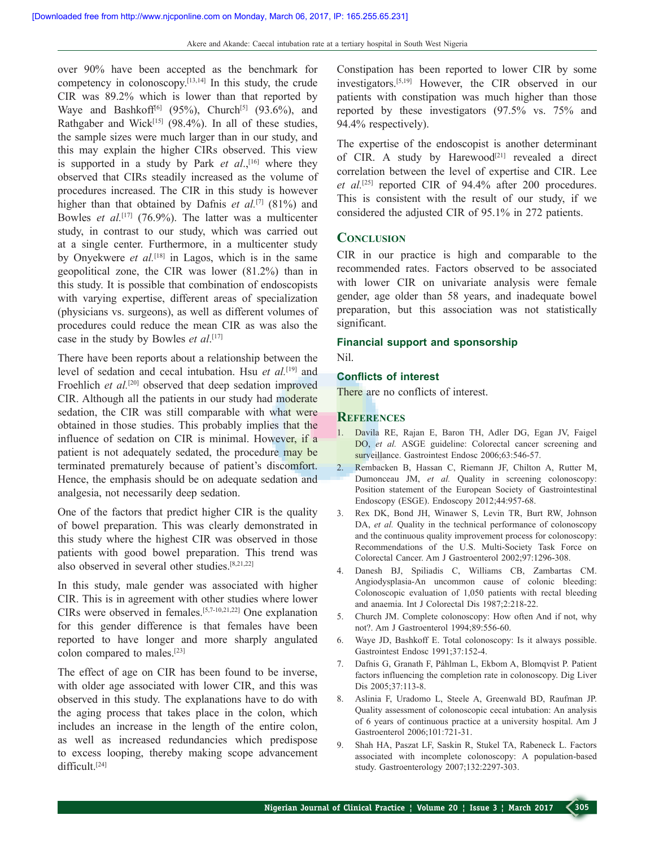over 90% have been accepted as the benchmark for competency in colonoscopy.[13,14] In this study, the crude CIR was 89.2% which is lower than that reported by Waye and Bashkoff<sup>[6]</sup> (95%), Church<sup>[5]</sup> (93.6%), and Rathgaber and Wick<sup>[15]</sup> (98.4%). In all of these studies, the sample sizes were much larger than in our study, and this may explain the higher CIRs observed. This view is supported in a study by Park *et al.*,<sup>[16]</sup> where they observed that CIRs steadily increased as the volume of procedures increased. The CIR in this study is however higher than that obtained by Dafnis *et al.*<sup>[7]</sup> (81%) and Bowles *et al.*<sup>[17]</sup> (76.9%). The latter was a multicenter study, in contrast to our study, which was carried out at a single center. Furthermore, in a multicenter study by Onyekwere *et al.*[18] in Lagos, which is in the same geopolitical zone, the CIR was lower (81.2%) than in this study. It is possible that combination of endoscopists with varying expertise, different areas of specialization (physicians vs. surgeons), as well as different volumes of procedures could reduce the mean CIR as was also the case in the study by Bowles *et al*. [17]

There have been reports about a relationship between the level of sedation and cecal intubation. Hsu *et al.*[19] and Froehlich *et al.*<sup>[20]</sup> observed that deep sedation improved CIR. Although all the patients in our study had moderate sedation, the CIR was still comparable with what were obtained in those studies. This probably implies that the influence of sedation on CIR is minimal. However, if a patient is not adequately sedated, the procedure may be terminated prematurely because of patient's discomfort. Hence, the emphasis should be on adequate sedation and analgesia, not necessarily deep sedation.

One of the factors that predict higher CIR is the quality of bowel preparation. This was clearly demonstrated in this study where the highest CIR was observed in those patients with good bowel preparation. This trend was also observed in several other studies.[8,21,22]

In this study, male gender was associated with higher CIR. This is in agreement with other studies where lower CIRs were observed in females.[5,7-10,21,22] One explanation for this gender difference is that females have been reported to have longer and more sharply angulated colon compared to males.[23]

The effect of age on CIR has been found to be inverse, with older age associated with lower CIR, and this was observed in this study. The explanations have to do with the aging process that takes place in the colon, which includes an increase in the length of the entire colon, as well as increased redundancies which predispose to excess looping, thereby making scope advancement difficult.[24]

Constipation has been reported to lower CIR by some investigators.[5,19] However, the CIR observed in our patients with constipation was much higher than those reported by these investigators (97.5% vs. 75% and 94.4% respectively).

The expertise of the endoscopist is another determinant of CIR. A study by Harewood<sup>[21]</sup> revealed a direct correlation between the level of expertise and CIR. Lee *et al.*[25] reported CIR of 94.4% after 200 procedures. This is consistent with the result of our study, if we considered the adjusted CIR of 95.1% in 272 patients.

#### **Conclusion**

CIR in our practice is high and comparable to the recommended rates. Factors observed to be associated with lower CIR on univariate analysis were female gender, age older than 58 years, and inadequate bowel preparation, but this association was not statistically significant.

# **Financial support and sponsorship**

Nil.

#### **Conflicts of interest**

There are no conflicts of interest.

#### **References**

- 1. Davila RE, Rajan E, Baron TH, Adler DG, Egan JV, Faigel DO, *et al.* ASGE guideline: Colorectal cancer screening and surveillance. Gastrointest Endosc 2006;63:546-57.
- 2. Rembacken B, Hassan C, Riemann JF, Chilton A, Rutter M, Dumonceau JM, *et al.* Ouality in screening colonoscopy: Position statement of the European Society of Gastrointestinal Endoscopy (ESGE). Endoscopy 2012;44:957-68.
- 3. Rex DK, Bond JH, Winawer S, Levin TR, Burt RW, Johnson DA, *et al.* Quality in the technical performance of colonoscopy and the continuous quality improvement process for colonoscopy: Recommendations of the U.S. Multi-Society Task Force on Colorectal Cancer. Am J Gastroenterol 2002;97:1296-308.
- 4. Danesh BJ, Spiliadis C, Williams CB, Zambartas CM. Angiodysplasia-An uncommon cause of colonic bleeding: Colonoscopic evaluation of 1,050 patients with rectal bleeding and anaemia. Int J Colorectal Dis 1987;2:218-22.
- 5. Church JM. Complete colonoscopy: How often And if not, why not?. Am J Gastroenterol 1994;89:556-60.
- 6. Waye JD, Bashkoff E. Total colonoscopy: Is it always possible. Gastrointest Endosc 1991;37:152-4.
- 7. Dafnis G, Granath F, Påhlman L, Ekbom A, Blomqvist P. Patient factors influencing the completion rate in colonoscopy. Dig Liver Dis 2005;37:113-8.
- 8. Aslinia F, Uradomo L, Steele A, Greenwald BD, Raufman JP. Quality assessment of colonoscopic cecal intubation: An analysis of 6 years of continuous practice at a university hospital. Am J Gastroenterol 2006;101:721-31.
- 9. Shah HA, Paszat LF, Saskin R, Stukel TA, Rabeneck L. Factors associated with incomplete colonoscopy: A population-based study. Gastroenterology 2007;132:2297-303.